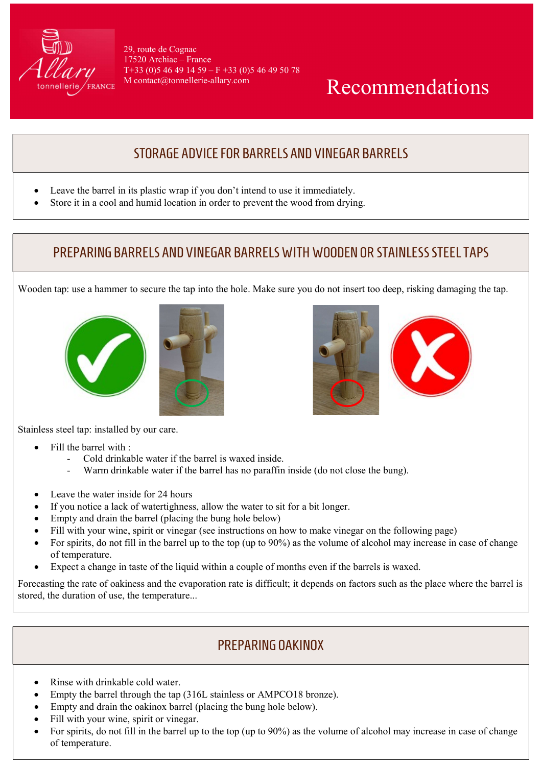

29, route de Cognac 17520 Archiac – France  $T+33$  (0) 5 46 49 14 59 – F + 33 (0) 5 46 49 50 78 M contact@tonnellerie-allary.com

# Recommendations

## STORAGE ADVICE FOR BARRELS AND VINEGAR BARRELS

- Leave the barrel in its plastic wrap if you don't intend to use it immediately.
- Store it in a cool and humid location in order to prevent the wood from drying.

### PREPARING BARRELS AND VINEGAR BARRELS WITH WOODEN OR STAINLESS STEEL TAPS

Wooden tap: use a hammer to secure the tap into the hole. Make sure you do not insert too deep, risking damaging the tap.







Stainless steel tap: installed by our care.

- Fill the barrel with :
	- Cold drinkable water if the barrel is waxed inside.
	- Warm drinkable water if the barrel has no paraffin inside (do not close the bung).
- Leave the water inside for 24 hours
- If you notice a lack of watertighness, allow the water to sit for a bit longer.
- Empty and drain the barrel (placing the bung hole below)
- Fill with your wine, spirit or vinegar (see instructions on how to make vinegar on the following page)
- For spirits, do not fill in the barrel up to the top (up to  $90\%$ ) as the volume of alcohol may increase in case of change of temperature.
- Expect a change in taste of the liquid within a couple of months even if the barrels is waxed.

Forecasting the rate of oakiness and the evaporation rate is difficult; it depends on factors such as the place where the barrel is stored, the duration of use, the temperature...

## PREPARING OAKINOX

- Rinse with drinkable cold water.
- Empty the barrel through the tap (316L stainless or AMPCO18 bronze).
- Empty and drain the oakinox barrel (placing the bung hole below).
- Fill with your wine, spirit or vinegar.
- For spirits, do not fill in the barrel up to the top (up to 90%) as the volume of alcohol may increase in case of change of temperature.